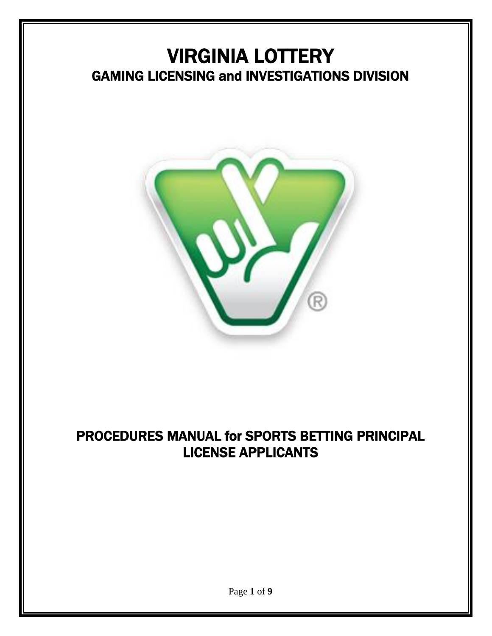# VIRGINIA LOTTERY GAMING LICENSING and INVESTIGATIONS DIVISION



## PROCEDURES MANUAL for SPORTS BETTING PRINCIPAL LICENSE APPLICANTS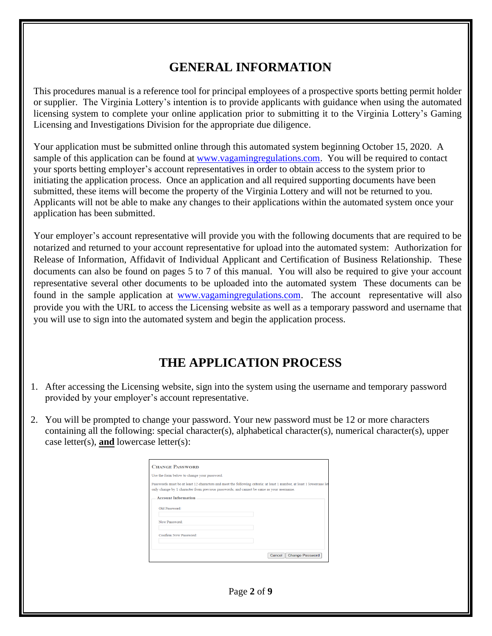### **GENERAL INFORMATION**

This procedures manual is a reference tool for principal employees of a prospective sports betting permit holder or supplier. The Virginia Lottery's intention is to provide applicants with guidance when using the automated licensing system to complete your online application prior to submitting it to the Virginia Lottery's Gaming Licensing and Investigations Division for the appropriate due diligence.

Your application must be submitted online through this automated system beginning October 15, 2020. A sample of this application can be found at [www.vagamingregulations.com.](http://www.vagamingregulations.com/) You will be required to contact your sports betting employer's account representatives in order to obtain access to the system prior to initiating the application process. Once an application and all required supporting documents have been submitted, these items will become the property of the Virginia Lottery and will not be returned to you. Applicants will not be able to make any changes to their applications within the automated system once your application has been submitted.

Your employer's account representative will provide you with the following documents that are required to be notarized and returned to your account representative for upload into the automated system: Authorization for Release of Information, Affidavit of Individual Applicant and Certification of Business Relationship. These documents can also be found on pages 5 to 7 of this manual. You will also be required to give your account representative several other documents to be uploaded into the automated system These documents can be found in the sample application at [www.vagamingregulations.com.](http://www.vagamingregulations.com/) The account representative will also provide you with the URL to access the Licensing website as well as a temporary password and username that you will use to sign into the automated system and begin the application process.

### **THE APPLICATION PROCESS**

- 1. After accessing the Licensing website, sign into the system using the username and temporary password provided by your employer's account representative.
- 2. You will be prompted to change your password. Your new password must be 12 or more characters containing all the following: special character(s), alphabetical character(s), numerical character(s), upper case letter(s), **and** lowercase letter(s):

| <b>CHANGE PASSWORD</b>                      |                                                                                                                                                                                                                   |
|---------------------------------------------|-------------------------------------------------------------------------------------------------------------------------------------------------------------------------------------------------------------------|
| Use the form below to change your password. |                                                                                                                                                                                                                   |
|                                             | Passwords must be at least 12 characters and meet the following criteria: at least 1 number, at least 1 lowercase let<br>only change by 1 character from previous passwords; and cannot be same as your username. |
| <b>Account Information</b>                  |                                                                                                                                                                                                                   |
| Old Password:                               |                                                                                                                                                                                                                   |
| New Password:                               |                                                                                                                                                                                                                   |
| Confirm New Password:                       |                                                                                                                                                                                                                   |
|                                             |                                                                                                                                                                                                                   |
|                                             | <b>Change Password</b><br>Cancel                                                                                                                                                                                  |

Page **2** of **9**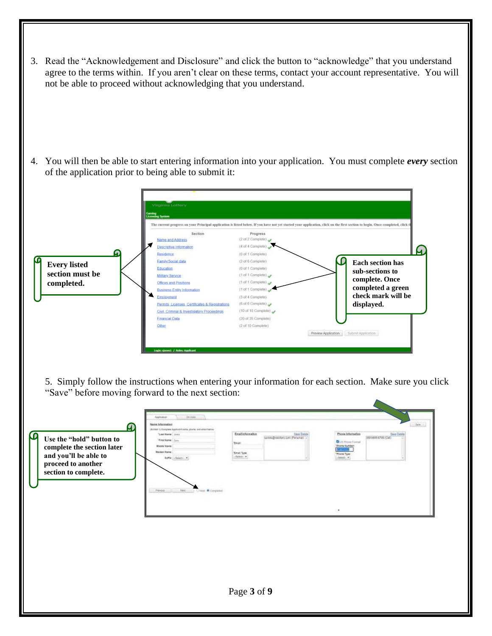3. Read the "Acknowledgement and Disclosure" and click the button to "acknowledge" that you understand agree to the terms within. If you aren't clear on these terms, contact your account representative. You will not be able to proceed without acknowledging that you understand.

4. You will then be able to start entering information into your application. You must complete *every* section of the application prior to being able to submit it:



5. Simply follow the instructions when entering your information for each section. Make sure you click "Save" before moving forward to the next section:

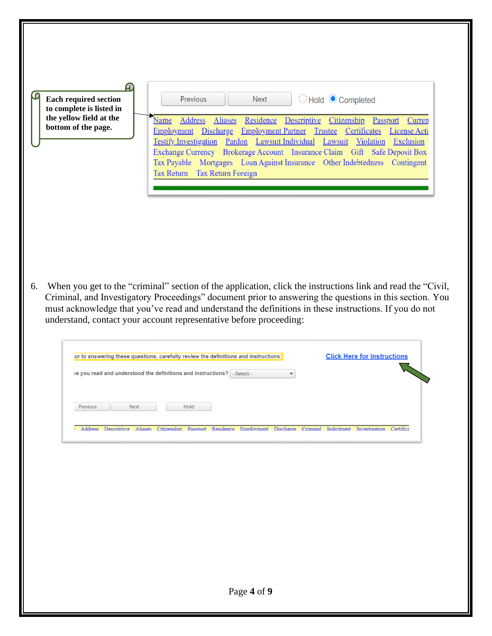| <b>Each required section</b><br>to complete is listed in | Previous<br>○ Hold ● Completed<br><b>Next</b>                                                                                                                                                                                                                                                                                                                                                                                                                                                                                      |
|----------------------------------------------------------|------------------------------------------------------------------------------------------------------------------------------------------------------------------------------------------------------------------------------------------------------------------------------------------------------------------------------------------------------------------------------------------------------------------------------------------------------------------------------------------------------------------------------------|
| the yellow field at the<br>bottom of the page.           | Address<br><b>Aliases</b><br>Residence<br>Descriptive<br>Name<br>Citizenship<br>Passport<br>Curren<br>Discharge Employment Partner Trustee<br>Employment<br>Certificates<br>License Acti<br>Pardon Lawsuit Individual Lawsuit Violation<br><b>Testify Investigation</b><br>Exclusion<br>Exchange Currency Brokerage Account Insurance Claim Gift Safe Deposit Box<br>Tax Payable Mortgages Loan Against Insurance Other Indebtedness Contingent<br>Tax Return Tax Return Foreign                                                   |
| 6.                                                       | When you get to the "criminal" section of the application, click the instructions link and read the "Civil,<br>Criminal, and Investigatory Proceedings" document prior to answering the questions in this section. You<br>must acknowledge that you've read and understand the definitions in these instructions. If you do not<br>understand, contact your account representative before proceeding:<br><b>Click Here for Instructions</b><br>or to answering these questions, carefully review the definitions and instructions: |
|                                                          | re you read and understood the definitions and instructions? -Select--<br>▼                                                                                                                                                                                                                                                                                                                                                                                                                                                        |
| Next<br>Previous                                         | Hold                                                                                                                                                                                                                                                                                                                                                                                                                                                                                                                               |
|                                                          | Address Descriptive Aliases Citizenship Passport Residence Employment Discharge Criminal Indictment Investigation Certifica                                                                                                                                                                                                                                                                                                                                                                                                        |
|                                                          |                                                                                                                                                                                                                                                                                                                                                                                                                                                                                                                                    |
|                                                          |                                                                                                                                                                                                                                                                                                                                                                                                                                                                                                                                    |
|                                                          |                                                                                                                                                                                                                                                                                                                                                                                                                                                                                                                                    |
|                                                          | Page 4 of 9                                                                                                                                                                                                                                                                                                                                                                                                                                                                                                                        |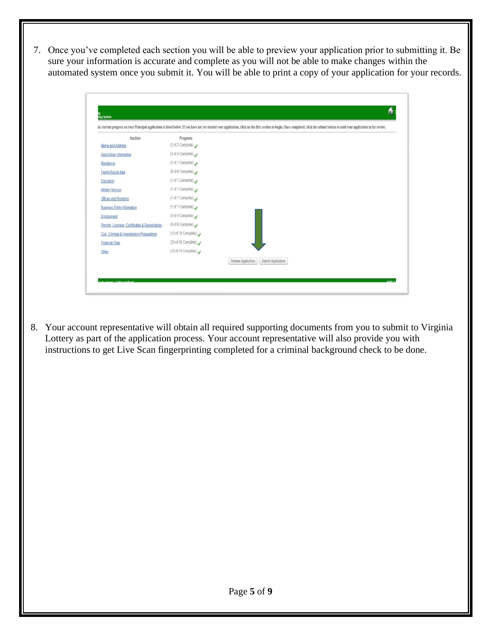7. Once you've completed each section you will be able to preview your application prior to submitting it. Be sure your information is accurate and complete as you will not be able to make changes within the automated system once you submit it. You will be able to print a copy of your application for your records.

| Section                                         | Progress            |                                           |
|-------------------------------------------------|---------------------|-------------------------------------------|
| Name and Address                                | (2 of 2 Complete)   |                                           |
| <b>Descriptive Information</b>                  | (4 of 4 Complete)   |                                           |
| Residence                                       | (1 of 1 Complete)   |                                           |
| Family/Social data                              | (6 of 6 Complete)   |                                           |
| Education                                       | (1 of 1 Complete)   |                                           |
| <b>Military Service</b>                         | (1 of 1 Complete)   |                                           |
| <b>Offices and Positions</b>                    | (1 of 1 Complete)   |                                           |
| <b>Business Entity Information</b>              | (1 of 1 Complete)   |                                           |
| Employment                                      | (4 of 4 Complete)   |                                           |
| Permits, Licenses, Certificates & Registrations | (6 of 6 Complete)   |                                           |
| Civil, Criminal & Investigatory Proceedings     | (10 of 10 Complete) |                                           |
| <b>Financial Data</b>                           | (35 of 35 Complete) |                                           |
| Other                                           | (10 of 10 Complete) |                                           |
|                                                 |                     | Preview Application<br>Submit Application |

8. Your account representative will obtain all required supporting documents from you to submit to Virginia Lottery as part of the application process. Your account representative will also provide you with instructions to get Live Scan fingerprinting completed for a criminal background check to be done.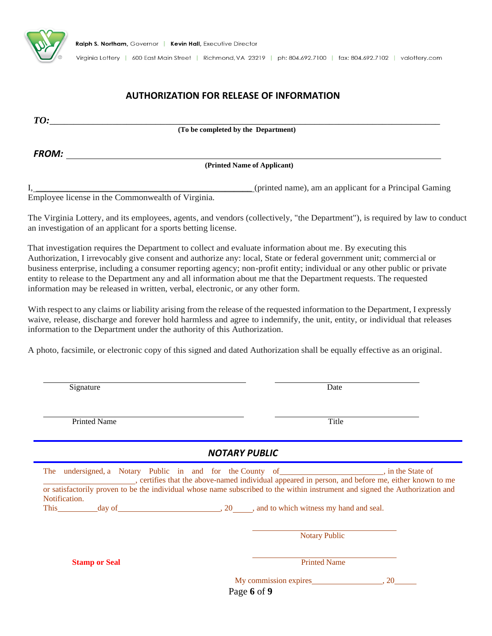

Virginia Lottery | 600 East Main Street | Richmond, VA 23219 | ph: 804.692.7100 | fax: 804.692.7102 | valottery.com

#### **AUTHORIZATION FOR RELEASE OF INFORMATION**

| TO:          |                                                        |
|--------------|--------------------------------------------------------|
|              | (To be completed by the Department)                    |
|              |                                                        |
| <b>FROM:</b> | (Printed Name of Applicant)                            |
|              |                                                        |
|              | (printed name), am an applicant for a Principal Gaming |

Employee license in the Commonwealth of Virginia.

The Virginia Lottery, and its employees, agents, and vendors (collectively, "the Department"), is required by law to conduct an investigation of an applicant for a sports betting license.

That investigation requires the Department to collect and evaluate information about me. By executing this Authorization, I irrevocably give consent and authorize any: local, State or federal government unit; commercial or business enterprise, including a consumer reporting agency; non-profit entity; individual or any other public or private entity to release to the Department any and all information about me that the Department requests. The requested information may be released in written, verbal, electronic, or any other form.

With respect to any claims or liability arising from the release of the requested information to the Department, I expressly waive, release, discharge and forever hold harmless and agree to indemnify, the unit, entity, or individual that releases information to the Department under the authority of this Authorization.

A photo, facsimile, or electronic copy of this signed and dated Authorization shall be equally effective as an original.

| Signature                                                                                                                                                                                                                                                                                     |                                                                                                   | Date  |
|-----------------------------------------------------------------------------------------------------------------------------------------------------------------------------------------------------------------------------------------------------------------------------------------------|---------------------------------------------------------------------------------------------------|-------|
| <b>Printed Name</b>                                                                                                                                                                                                                                                                           |                                                                                                   | Title |
|                                                                                                                                                                                                                                                                                               | <b>NOTARY PUBLIC</b>                                                                              |       |
| The undersigned, a Notary Public in and for the County of help in the State of<br>or satisfactorily proven to be the individual whose name subscribed to the within instrument and signed the Authorization and<br>Notification.<br>This day of day of and to which witness my hand and seal. | , certifies that the above-named individual appeared in person, and before me, either known to me |       |
|                                                                                                                                                                                                                                                                                               | <b>Notary Public</b>                                                                              |       |
| <b>Stamp or Seal</b>                                                                                                                                                                                                                                                                          | <b>Printed Name</b>                                                                               |       |
|                                                                                                                                                                                                                                                                                               | My commission expires 3.20<br>Page 6 of 9                                                         |       |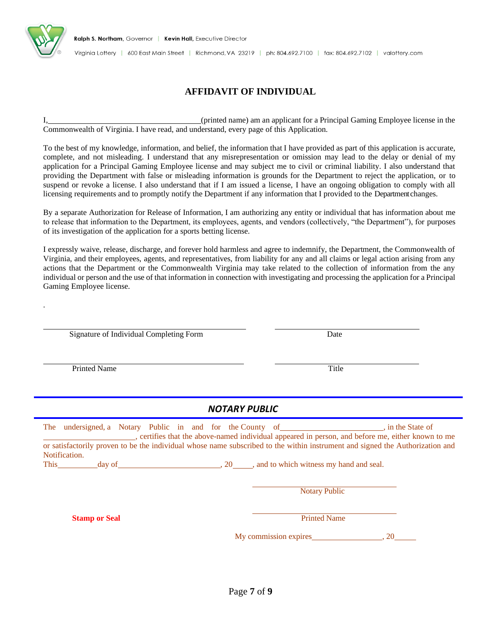

.

Virginia Lottery | 600 East Main Street | Richmond, VA 23219 | ph: 804.692.7100 | fax: 804.692.7102 | valottery.com

#### **AFFIDAVIT OF INDIVIDUAL**

I, (printed name) am an applicant for a Principal Gaming Employee license in the Commonwealth of Virginia. I have read, and understand, every page of this Application.

To the best of my knowledge, information, and belief, the information that I have provided as part of this application is accurate, complete, and not misleading. I understand that any misrepresentation or omission may lead to the delay or denial of my application for a Principal Gaming Employee license and may subject me to civil or criminal liability. I also understand that providing the Department with false or misleading information is grounds for the Department to reject the application, or to suspend or revoke a license. I also understand that if I am issued a license, I have an ongoing obligation to comply with all licensing requirements and to promptly notify the Department if any information that I provided to the Department changes.

By a separate Authorization for Release of Information, I am authorizing any entity or individual that has information about me to release that information to the Department, its employees, agents, and vendors (collectively, "the Department"), for purposes of its investigation of the application for a sports betting license.

I expressly waive, release, discharge, and forever hold harmless and agree to indemnify, the Department, the Commonwealth of Virginia, and their employees, agents, and representatives, from liability for any and all claims or legal action arising from any actions that the Department or the Commonwealth Virginia may take related to the collection of information from the any individual or person and the use of that information in connection with investigating and processing the application for a Principal Gaming Employee license.

Signature of Individual Completing Form Date

Printed Name Title

#### *NOTARY PUBLIC*

The undersigned, a Notary Public in and for the County of , in the State of , in the State of , certifies that the above-named individual appeared in person, and before me, either known to me or satisfactorily proven to be the individual whose name subscribed to the within instrument and signed the Authorization and Notification.

This day of day  $\frac{1}{20}$ , 20 , and to which witness my hand and seal.

Notary Public

**Stamp or Seal** Printed Name

My commission expires , 20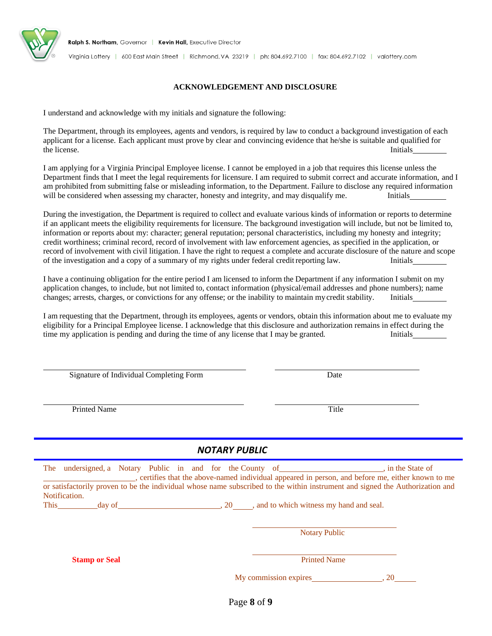

#### **ACKNOWLEDGEMENT AND DISCLOSURE**

I understand and acknowledge with my initials and signature the following:

The Department, through its employees, agents and vendors, is required by law to conduct a background investigation of each applicant for a license. Each applicant must prove by clear and convincing evidence that he/she is suitable and qualified for the license. Initials and the license of the license of the license of the license.

I am applying for a Virginia Principal Employee license. I cannot be employed in a job that requires this license unless the Department finds that I meet the legal requirements for licensure. I am required to submit correct and accurate information, and I am prohibited from submitting false or misleading information, to the Department. Failure to disclose any required information will be considered when assessing my character, honesty and integrity, and may disqualify me. Initials

During the investigation, the Department is required to collect and evaluate various kinds of information or reports to determine if an applicant meets the eligibility requirements for licensure. The background investigation will include, but not be limited to, information or reports about my: character; general reputation; personal characteristics, including my honesty and integrity; credit worthiness; criminal record, record of involvement with law enforcement agencies, as specified in the application, or record of involvement with civil litigation. I have the right to request a complete and accurate disclosure of the nature and scope of the investigation and a copy of a summary of my rights under federal creditreporting law. Initials

I have a continuing obligation for the entire period I am licensed to inform the Department if any information I submit on my application changes, to include, but not limited to, contact information (physical/email addresses and phone numbers); name changes; arrests, charges, or convictions for any offense; or the inability to maintain mycredit stability. Initials

I am requesting that the Department, through its employees, agents or vendors, obtain this information about me to evaluate my eligibility for a Principal Employee license. I acknowledge that this disclosure and authorization remains in effect during the time my application is pending and during the time of any license that I may be granted. Initials

Signature of Individual Completing Form Date

Printed Name Title

#### *NOTARY PUBLIC*

| The undersigned, a Notary Public in and for the County of intervention in the State of<br>or satisfactorily proven to be the individual whose name subscribed to the within instrument and signed the Authorization and | , certifies that the above-named individual appeared in person, and before me, either known to me |  |
|-------------------------------------------------------------------------------------------------------------------------------------------------------------------------------------------------------------------------|---------------------------------------------------------------------------------------------------|--|
| Notification.                                                                                                                                                                                                           |                                                                                                   |  |
| This day of and to which witness my hand and seal.                                                                                                                                                                      |                                                                                                   |  |
|                                                                                                                                                                                                                         |                                                                                                   |  |
|                                                                                                                                                                                                                         | <b>Notary Public</b>                                                                              |  |
|                                                                                                                                                                                                                         |                                                                                                   |  |
| <b>Stamp or Seal</b>                                                                                                                                                                                                    | <b>Printed Name</b>                                                                               |  |

Page **8** of **9**

My commission expires , 20